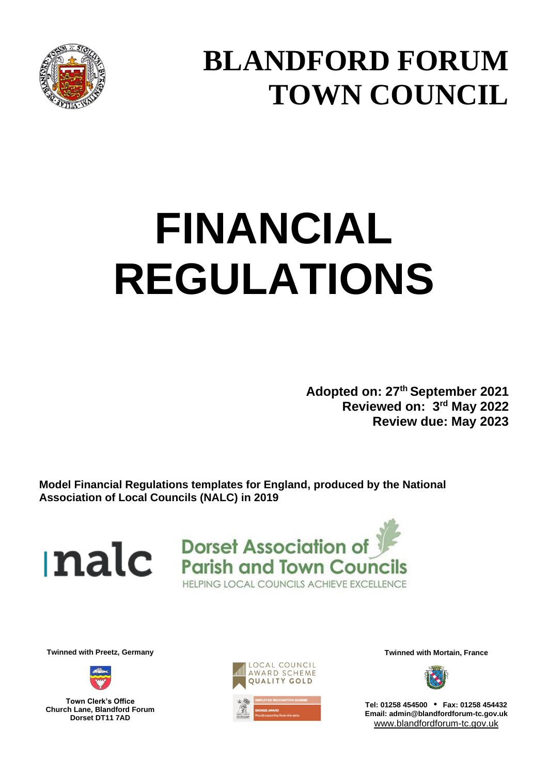

## **BLANDFORD FORUM TOWN COUNCIL**

# **FINANCIAL REGULATIONS**

**Adopted on: 27 th September 2021 Reviewed on: 3 rd May 2022 Review due: May 2023**

**Model Financial Regulations templates for England, produced by the National Association of Local Councils (NALC) in 2019**

nalc



**Twinned with Preetz, Germany Twinned with Mortain, France**



**Town Clerk's Office Church Lane, Blandford Forum Dorset DT11 7AD**





**Tel: 01258 454500 • Fax: 01258 454432 Email: admin@blandfordforum-tc.gov.uk** [www.blandfordforum-tc.gov.uk](http://www.blandfordforum-tc.gov.uk/)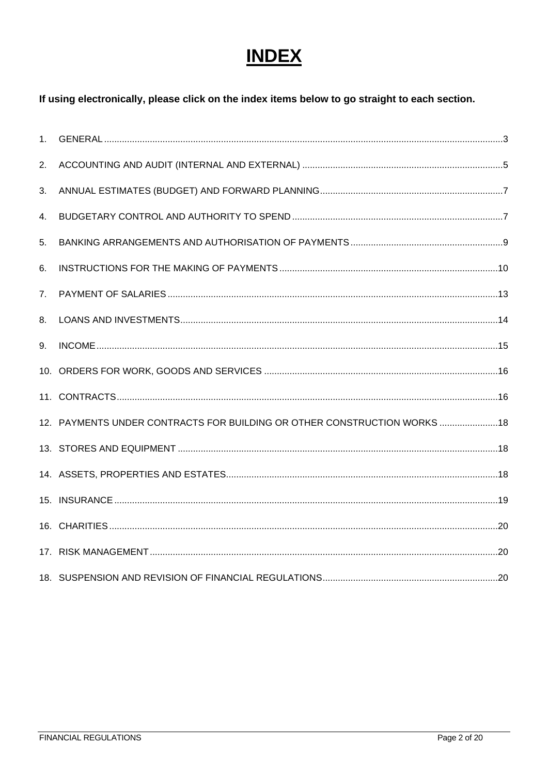### **INDEX**

#### If using electronically, please click on the index items below to go straight to each section.

| 1 <sub>1</sub> |                                                                           |  |
|----------------|---------------------------------------------------------------------------|--|
| 2.             |                                                                           |  |
| 3.             |                                                                           |  |
| 4.             |                                                                           |  |
| 5.             |                                                                           |  |
| 6.             |                                                                           |  |
| 7.             |                                                                           |  |
| 8.             |                                                                           |  |
| 9.             |                                                                           |  |
|                |                                                                           |  |
|                |                                                                           |  |
|                | 12. PAYMENTS UNDER CONTRACTS FOR BUILDING OR OTHER CONSTRUCTION WORKS  18 |  |
|                |                                                                           |  |
|                |                                                                           |  |
|                |                                                                           |  |
|                |                                                                           |  |
|                |                                                                           |  |
|                |                                                                           |  |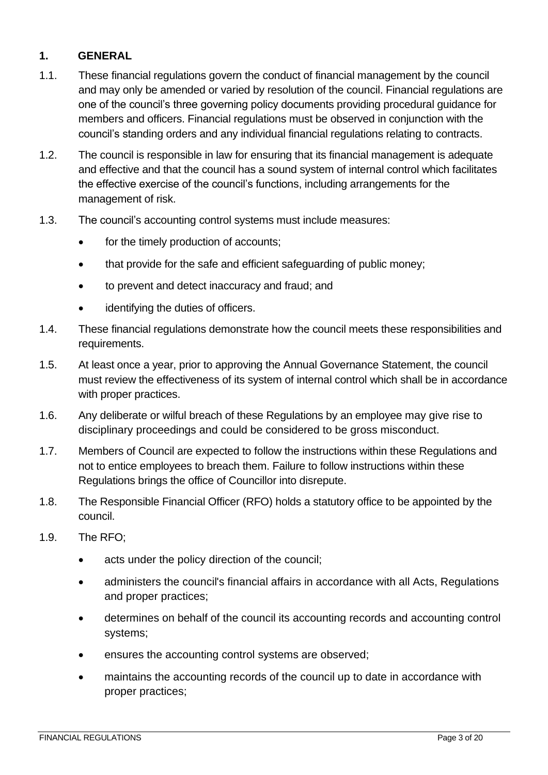#### <span id="page-2-0"></span>**1. GENERAL**

- 1.1. These financial regulations govern the conduct of financial management by the council and may only be amended or varied by resolution of the council. Financial regulations are one of the council's three governing policy documents providing procedural guidance for members and officers. Financial regulations must be observed in conjunction with the council's standing orders and any individual financial regulations relating to contracts.
- 1.2. The council is responsible in law for ensuring that its financial management is adequate and effective and that the council has a sound system of internal control which facilitates the effective exercise of the council's functions, including arrangements for the management of risk.
- 1.3. The council's accounting control systems must include measures:
	- for the timely production of accounts;
	- that provide for the safe and efficient safeguarding of public money;
	- to prevent and detect inaccuracy and fraud; and
	- identifying the duties of officers.
- 1.4. These financial regulations demonstrate how the council meets these responsibilities and requirements.
- 1.5. At least once a year, prior to approving the Annual Governance Statement, the council must review the effectiveness of its system of internal control which shall be in accordance with proper practices.
- 1.6. Any deliberate or wilful breach of these Regulations by an employee may give rise to disciplinary proceedings and could be considered to be gross misconduct.
- 1.7. Members of Council are expected to follow the instructions within these Regulations and not to entice employees to breach them. Failure to follow instructions within these Regulations brings the office of Councillor into disrepute.
- 1.8. The Responsible Financial Officer (RFO) holds a statutory office to be appointed by the council.
- 1.9. The RFO;
	- acts under the policy direction of the council:
	- administers the council's financial affairs in accordance with all Acts, Regulations and proper practices;
	- determines on behalf of the council its accounting records and accounting control systems;
	- ensures the accounting control systems are observed;
	- maintains the accounting records of the council up to date in accordance with proper practices;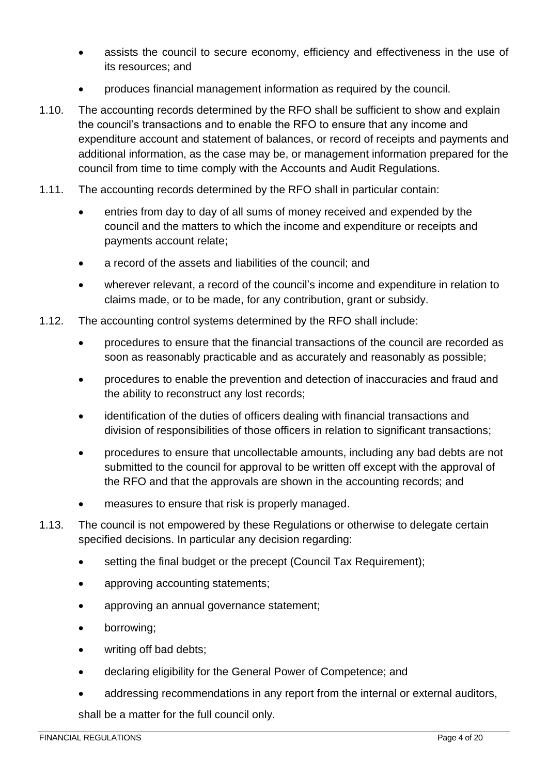- assists the council to secure economy, efficiency and effectiveness in the use of its resources; and
- produces financial management information as required by the council.
- 1.10. The accounting records determined by the RFO shall be sufficient to show and explain the council's transactions and to enable the RFO to ensure that any income and expenditure account and statement of balances, or record of receipts and payments and additional information, as the case may be, or management information prepared for the council from time to time comply with the Accounts and Audit Regulations.
- 1.11. The accounting records determined by the RFO shall in particular contain:
	- entries from day to day of all sums of money received and expended by the council and the matters to which the income and expenditure or receipts and payments account relate;
	- a record of the assets and liabilities of the council; and
	- wherever relevant, a record of the council's income and expenditure in relation to claims made, or to be made, for any contribution, grant or subsidy.
- 1.12. The accounting control systems determined by the RFO shall include:
	- procedures to ensure that the financial transactions of the council are recorded as soon as reasonably practicable and as accurately and reasonably as possible;
	- procedures to enable the prevention and detection of inaccuracies and fraud and the ability to reconstruct any lost records;
	- identification of the duties of officers dealing with financial transactions and division of responsibilities of those officers in relation to significant transactions;
	- procedures to ensure that uncollectable amounts, including any bad debts are not submitted to the council for approval to be written off except with the approval of the RFO and that the approvals are shown in the accounting records; and
	- measures to ensure that risk is properly managed.
- 1.13. The council is not empowered by these Regulations or otherwise to delegate certain specified decisions. In particular any decision regarding:
	- setting the final budget or the precept (Council Tax Requirement);
	- approving accounting statements;
	- approving an annual governance statement;
	- borrowing;
	- writing off bad debts;
	- declaring eligibility for the General Power of Competence; and
	- addressing recommendations in any report from the internal or external auditors, shall be a matter for the full council only.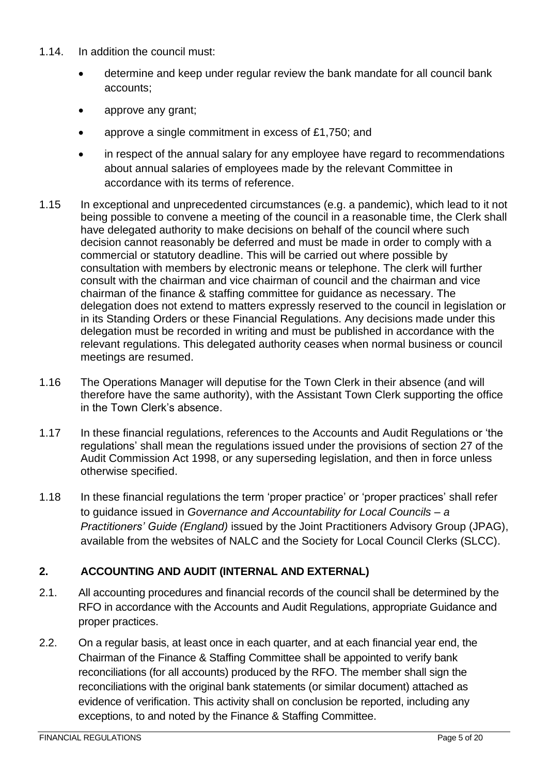- 1.14. In addition the council must:
	- determine and keep under regular review the bank mandate for all council bank accounts;
	- approve any grant;
	- approve a single commitment in excess of £1,750; and
	- in respect of the annual salary for any employee have regard to recommendations about annual salaries of employees made by the relevant Committee in accordance with its terms of reference.
- 1.15 In exceptional and unprecedented circumstances (e.g. a pandemic), which lead to it not being possible to convene a meeting of the council in a reasonable time, the Clerk shall have delegated authority to make decisions on behalf of the council where such decision cannot reasonably be deferred and must be made in order to comply with a commercial or statutory deadline. This will be carried out where possible by consultation with members by electronic means or telephone. The clerk will further consult with the chairman and vice chairman of council and the chairman and vice chairman of the finance & staffing committee for guidance as necessary. The delegation does not extend to matters expressly reserved to the council in legislation or in its Standing Orders or these Financial Regulations. Any decisions made under this delegation must be recorded in writing and must be published in accordance with the relevant regulations. This delegated authority ceases when normal business or council meetings are resumed.
- 1.16 The Operations Manager will deputise for the Town Clerk in their absence (and will therefore have the same authority), with the Assistant Town Clerk supporting the office in the Town Clerk's absence.
- 1.17 In these financial regulations, references to the Accounts and Audit Regulations or 'the regulations' shall mean the regulations issued under the provisions of section 27 of the Audit Commission Act 1998, or any superseding legislation, and then in force unless otherwise specified.
- 1.18 In these financial regulations the term 'proper practice' or 'proper practices' shall refer to guidance issued in *Governance and Accountability for Local Councils – a Practitioners' Guide (England)* issued by the Joint Practitioners Advisory Group (JPAG), available from the websites of NALC and the Society for Local Council Clerks (SLCC).

#### <span id="page-4-0"></span>**2. ACCOUNTING AND AUDIT (INTERNAL AND EXTERNAL)**

- 2.1. All accounting procedures and financial records of the council shall be determined by the RFO in accordance with the Accounts and Audit Regulations, appropriate Guidance and proper practices.
- 2.2. On a regular basis, at least once in each quarter, and at each financial year end, the Chairman of the Finance & Staffing Committee shall be appointed to verify bank reconciliations (for all accounts) produced by the RFO. The member shall sign the reconciliations with the original bank statements (or similar document) attached as evidence of verification. This activity shall on conclusion be reported, including any exceptions, to and noted by the Finance & Staffing Committee.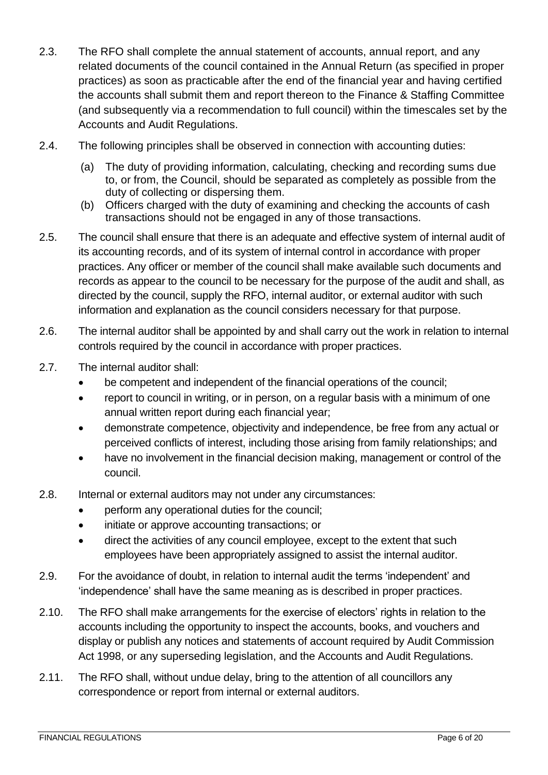- 2.3. The RFO shall complete the annual statement of accounts, annual report, and any related documents of the council contained in the Annual Return (as specified in proper practices) as soon as practicable after the end of the financial year and having certified the accounts shall submit them and report thereon to the Finance & Staffing Committee (and subsequently via a recommendation to full council) within the timescales set by the Accounts and Audit Regulations.
- 2.4. The following principles shall be observed in connection with accounting duties:
	- (a) The duty of providing information, calculating, checking and recording sums due to, or from, the Council, should be separated as completely as possible from the duty of collecting or dispersing them.
	- (b) Officers charged with the duty of examining and checking the accounts of cash transactions should not be engaged in any of those transactions.
- 2.5. The council shall ensure that there is an adequate and effective system of internal audit of its accounting records, and of its system of internal control in accordance with proper practices. Any officer or member of the council shall make available such documents and records as appear to the council to be necessary for the purpose of the audit and shall, as directed by the council, supply the RFO, internal auditor, or external auditor with such information and explanation as the council considers necessary for that purpose.
- 2.6. The internal auditor shall be appointed by and shall carry out the work in relation to internal controls required by the council in accordance with proper practices.
- 2.7. The internal auditor shall:
	- be competent and independent of the financial operations of the council;
	- report to council in writing, or in person, on a regular basis with a minimum of one annual written report during each financial year;
	- demonstrate competence, objectivity and independence, be free from any actual or perceived conflicts of interest, including those arising from family relationships; and
	- have no involvement in the financial decision making, management or control of the council.
- 2.8. Internal or external auditors may not under any circumstances:
	- perform any operational duties for the council;
	- initiate or approve accounting transactions; or
	- direct the activities of any council employee, except to the extent that such employees have been appropriately assigned to assist the internal auditor.
- 2.9. For the avoidance of doubt, in relation to internal audit the terms 'independent' and 'independence' shall have the same meaning as is described in proper practices.
- 2.10. The RFO shall make arrangements for the exercise of electors' rights in relation to the accounts including the opportunity to inspect the accounts, books, and vouchers and display or publish any notices and statements of account required by Audit Commission Act 1998, or any superseding legislation, and the Accounts and Audit Regulations.
- 2.11. The RFO shall, without undue delay, bring to the attention of all councillors any correspondence or report from internal or external auditors.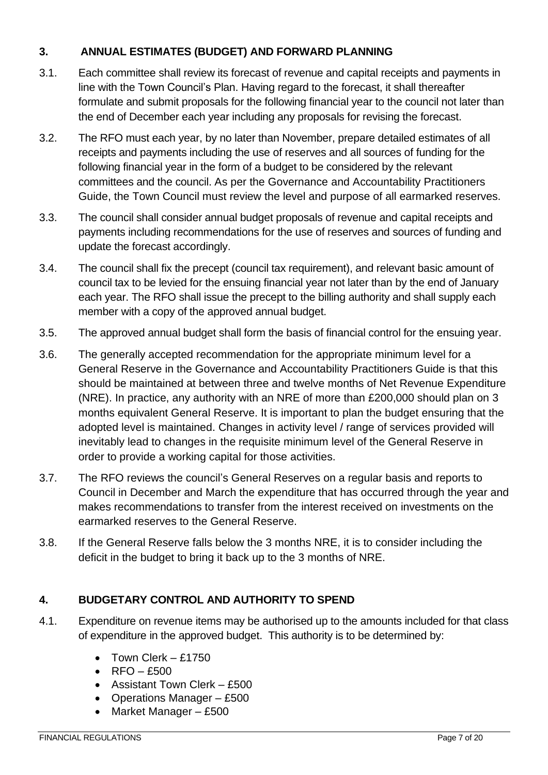#### <span id="page-6-0"></span>**3. ANNUAL ESTIMATES (BUDGET) AND FORWARD PLANNING**

- 3.1. Each committee shall review its forecast of revenue and capital receipts and payments in line with the Town Council's Plan. Having regard to the forecast, it shall thereafter formulate and submit proposals for the following financial year to the council not later than the end of December each year including any proposals for revising the forecast.
- 3.2. The RFO must each year, by no later than November, prepare detailed estimates of all receipts and payments including the use of reserves and all sources of funding for the following financial year in the form of a budget to be considered by the relevant committees and the council. As per the Governance and Accountability Practitioners Guide, the Town Council must review the level and purpose of all earmarked reserves.
- 3.3. The council shall consider annual budget proposals of revenue and capital receipts and payments including recommendations for the use of reserves and sources of funding and update the forecast accordingly.
- 3.4. The council shall fix the precept (council tax requirement), and relevant basic amount of council tax to be levied for the ensuing financial year not later than by the end of January each year. The RFO shall issue the precept to the billing authority and shall supply each member with a copy of the approved annual budget.
- 3.5. The approved annual budget shall form the basis of financial control for the ensuing year.
- 3.6. The generally accepted recommendation for the appropriate minimum level for a General Reserve in the Governance and Accountability Practitioners Guide is that this should be maintained at between three and twelve months of Net Revenue Expenditure (NRE). In practice, any authority with an NRE of more than £200,000 should plan on 3 months equivalent General Reserve. It is important to plan the budget ensuring that the adopted level is maintained. Changes in activity level / range of services provided will inevitably lead to changes in the requisite minimum level of the General Reserve in order to provide a working capital for those activities.
- 3.7. The RFO reviews the council's General Reserves on a regular basis and reports to Council in December and March the expenditure that has occurred through the year and makes recommendations to transfer from the interest received on investments on the earmarked reserves to the General Reserve.
- 3.8. If the General Reserve falls below the 3 months NRE, it is to consider including the deficit in the budget to bring it back up to the 3 months of NRE.

#### <span id="page-6-1"></span>**4. BUDGETARY CONTROL AND AUTHORITY TO SPEND**

- 4.1. Expenditure on revenue items may be authorised up to the amounts included for that class of expenditure in the approved budget. This authority is to be determined by:
	- Town Clerk £1750
	- $\cdot$  RFO £500
	- Assistant Town Clerk £500
	- Operations Manager £500
	- Market Manager £500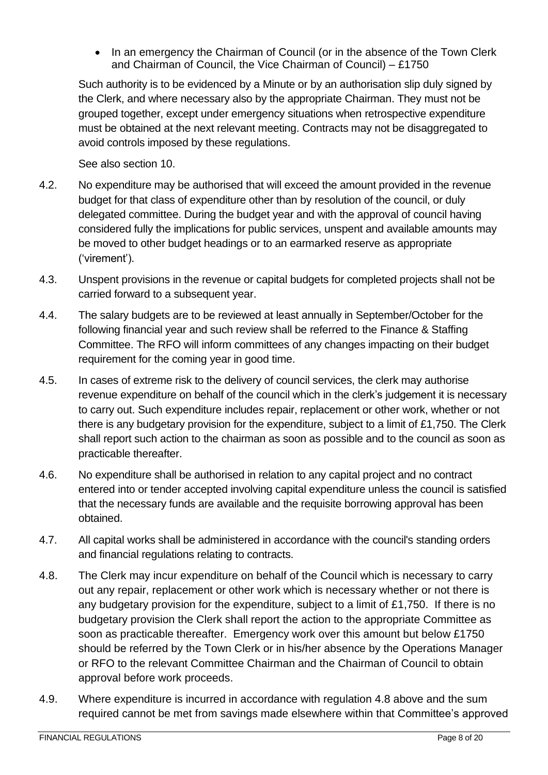• In an emergency the Chairman of Council (or in the absence of the Town Clerk and Chairman of Council, the Vice Chairman of Council) – £1750

Such authority is to be evidenced by a Minute or by an authorisation slip duly signed by the Clerk, and where necessary also by the appropriate Chairman. They must not be grouped together, except under emergency situations when retrospective expenditure must be obtained at the next relevant meeting. Contracts may not be disaggregated to avoid controls imposed by these regulations.

See also section 10.

- 4.2. No expenditure may be authorised that will exceed the amount provided in the revenue budget for that class of expenditure other than by resolution of the council, or duly delegated committee. During the budget year and with the approval of council having considered fully the implications for public services, unspent and available amounts may be moved to other budget headings or to an earmarked reserve as appropriate ('virement').
- 4.3. Unspent provisions in the revenue or capital budgets for completed projects shall not be carried forward to a subsequent year.
- 4.4. The salary budgets are to be reviewed at least annually in September/October for the following financial year and such review shall be referred to the Finance & Staffing Committee. The RFO will inform committees of any changes impacting on their budget requirement for the coming year in good time.
- 4.5. In cases of extreme risk to the delivery of council services, the clerk may authorise revenue expenditure on behalf of the council which in the clerk's judgement it is necessary to carry out. Such expenditure includes repair, replacement or other work, whether or not there is any budgetary provision for the expenditure, subject to a limit of £1,750. The Clerk shall report such action to the chairman as soon as possible and to the council as soon as practicable thereafter.
- 4.6. No expenditure shall be authorised in relation to any capital project and no contract entered into or tender accepted involving capital expenditure unless the council is satisfied that the necessary funds are available and the requisite borrowing approval has been obtained.
- 4.7. All capital works shall be administered in accordance with the council's standing orders and financial regulations relating to contracts.
- 4.8. The Clerk may incur expenditure on behalf of the Council which is necessary to carry out any repair, replacement or other work which is necessary whether or not there is any budgetary provision for the expenditure, subject to a limit of £1,750. If there is no budgetary provision the Clerk shall report the action to the appropriate Committee as soon as practicable thereafter. Emergency work over this amount but below £1750 should be referred by the Town Clerk or in his/her absence by the Operations Manager or RFO to the relevant Committee Chairman and the Chairman of Council to obtain approval before work proceeds.
- 4.9. Where expenditure is incurred in accordance with regulation 4.8 above and the sum required cannot be met from savings made elsewhere within that Committee's approved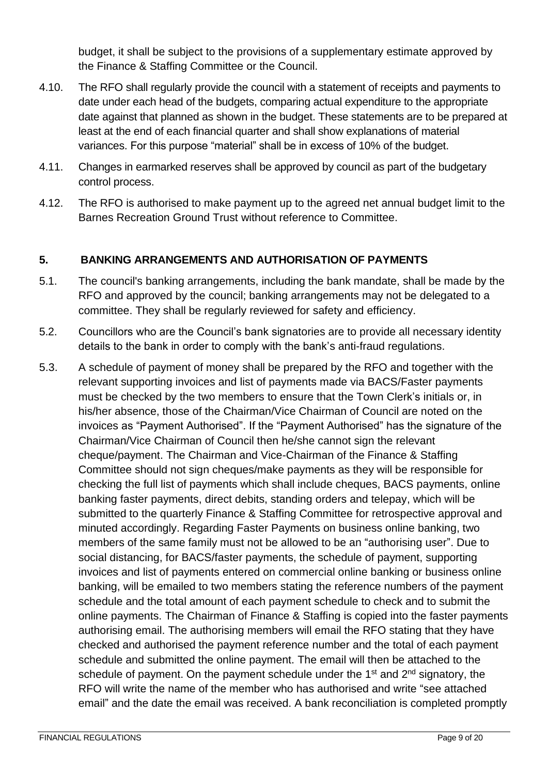budget, it shall be subject to the provisions of a supplementary estimate approved by the Finance & Staffing Committee or the Council.

- 4.10. The RFO shall regularly provide the council with a statement of receipts and payments to date under each head of the budgets, comparing actual expenditure to the appropriate date against that planned as shown in the budget. These statements are to be prepared at least at the end of each financial quarter and shall show explanations of material variances. For this purpose "material" shall be in excess of 10% of the budget.
- 4.11. Changes in earmarked reserves shall be approved by council as part of the budgetary control process.
- 4.12. The RFO is authorised to make payment up to the agreed net annual budget limit to the Barnes Recreation Ground Trust without reference to Committee.

#### <span id="page-8-0"></span>**5. BANKING ARRANGEMENTS AND AUTHORISATION OF PAYMENTS**

- 5.1. The council's banking arrangements, including the bank mandate, shall be made by the RFO and approved by the council; banking arrangements may not be delegated to a committee. They shall be regularly reviewed for safety and efficiency.
- 5.2. Councillors who are the Council's bank signatories are to provide all necessary identity details to the bank in order to comply with the bank's anti-fraud regulations.
- 5.3. A schedule of payment of money shall be prepared by the RFO and together with the relevant supporting invoices and list of payments made via BACS/Faster payments must be checked by the two members to ensure that the Town Clerk's initials or, in his/her absence, those of the Chairman/Vice Chairman of Council are noted on the invoices as "Payment Authorised". If the "Payment Authorised" has the signature of the Chairman/Vice Chairman of Council then he/she cannot sign the relevant cheque/payment. The Chairman and Vice-Chairman of the Finance & Staffing Committee should not sign cheques/make payments as they will be responsible for checking the full list of payments which shall include cheques, BACS payments, online banking faster payments, direct debits, standing orders and telepay, which will be submitted to the quarterly Finance & Staffing Committee for retrospective approval and minuted accordingly. Regarding Faster Payments on business online banking, two members of the same family must not be allowed to be an "authorising user". Due to social distancing, for BACS/faster payments, the schedule of payment, supporting invoices and list of payments entered on commercial online banking or business online banking, will be emailed to two members stating the reference numbers of the payment schedule and the total amount of each payment schedule to check and to submit the online payments. The Chairman of Finance & Staffing is copied into the faster payments authorising email. The authorising members will email the RFO stating that they have checked and authorised the payment reference number and the total of each payment schedule and submitted the online payment. The email will then be attached to the schedule of payment. On the payment schedule under the 1<sup>st</sup> and 2<sup>nd</sup> signatory, the RFO will write the name of the member who has authorised and write "see attached email" and the date the email was received. A bank reconciliation is completed promptly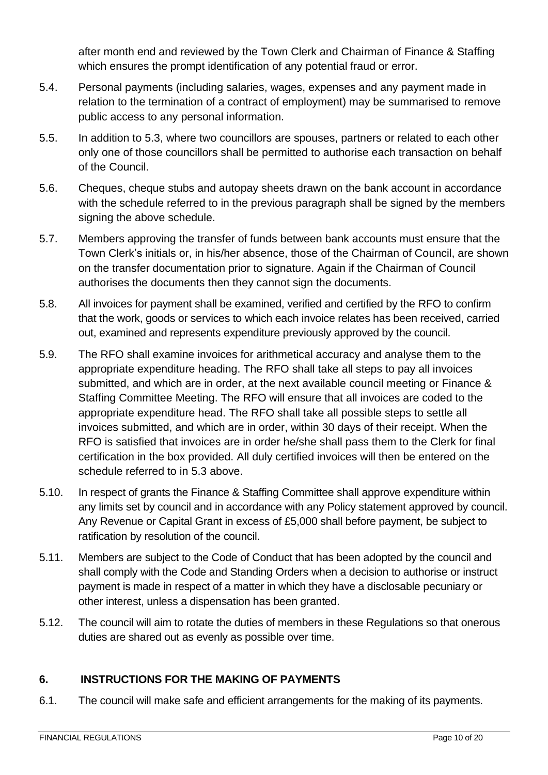after month end and reviewed by the Town Clerk and Chairman of Finance & Staffing which ensures the prompt identification of any potential fraud or error.

- 5.4. Personal payments (including salaries, wages, expenses and any payment made in relation to the termination of a contract of employment) may be summarised to remove public access to any personal information.
- 5.5. In addition to 5.3, where two councillors are spouses, partners or related to each other only one of those councillors shall be permitted to authorise each transaction on behalf of the Council.
- 5.6. Cheques, cheque stubs and autopay sheets drawn on the bank account in accordance with the schedule referred to in the previous paragraph shall be signed by the members signing the above schedule.
- 5.7. Members approving the transfer of funds between bank accounts must ensure that the Town Clerk's initials or, in his/her absence, those of the Chairman of Council, are shown on the transfer documentation prior to signature. Again if the Chairman of Council authorises the documents then they cannot sign the documents.
- 5.8. All invoices for payment shall be examined, verified and certified by the RFO to confirm that the work, goods or services to which each invoice relates has been received, carried out, examined and represents expenditure previously approved by the council.
- 5.9. The RFO shall examine invoices for arithmetical accuracy and analyse them to the appropriate expenditure heading. The RFO shall take all steps to pay all invoices submitted, and which are in order, at the next available council meeting or Finance & Staffing Committee Meeting. The RFO will ensure that all invoices are coded to the appropriate expenditure head. The RFO shall take all possible steps to settle all invoices submitted, and which are in order, within 30 days of their receipt. When the RFO is satisfied that invoices are in order he/she shall pass them to the Clerk for final certification in the box provided. All duly certified invoices will then be entered on the schedule referred to in 5.3 above.
- 5.10. In respect of grants the Finance & Staffing Committee shall approve expenditure within any limits set by council and in accordance with any Policy statement approved by council. Any Revenue or Capital Grant in excess of £5,000 shall before payment, be subject to ratification by resolution of the council.
- 5.11. Members are subject to the Code of Conduct that has been adopted by the council and shall comply with the Code and Standing Orders when a decision to authorise or instruct payment is made in respect of a matter in which they have a disclosable pecuniary or other interest, unless a dispensation has been granted.
- 5.12. The council will aim to rotate the duties of members in these Regulations so that onerous duties are shared out as evenly as possible over time.

#### <span id="page-9-0"></span>**6. INSTRUCTIONS FOR THE MAKING OF PAYMENTS**

6.1. The council will make safe and efficient arrangements for the making of its payments.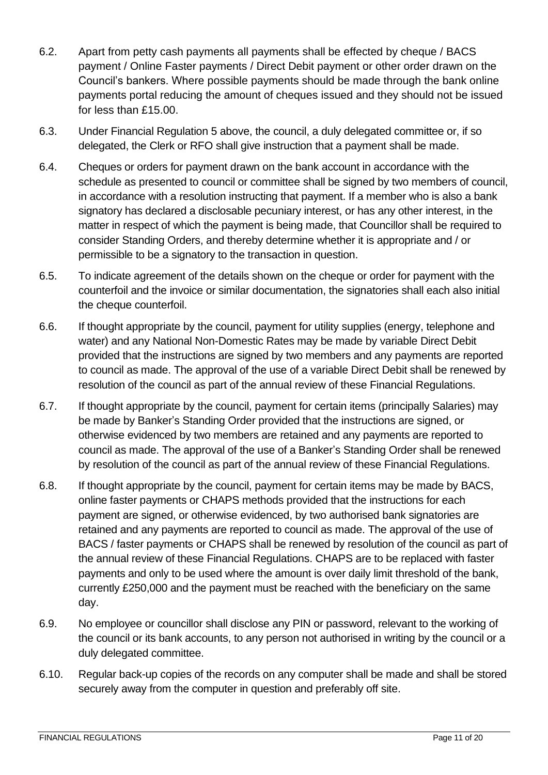- 6.2. Apart from petty cash payments all payments shall be effected by cheque / BACS payment / Online Faster payments / Direct Debit payment or other order drawn on the Council's bankers. Where possible payments should be made through the bank online payments portal reducing the amount of cheques issued and they should not be issued for less than £15.00.
- 6.3. Under Financial Regulation 5 above, the council, a duly delegated committee or, if so delegated, the Clerk or RFO shall give instruction that a payment shall be made.
- 6.4. Cheques or orders for payment drawn on the bank account in accordance with the schedule as presented to council or committee shall be signed by two members of council, in accordance with a resolution instructing that payment. If a member who is also a bank signatory has declared a disclosable pecuniary interest, or has any other interest, in the matter in respect of which the payment is being made, that Councillor shall be required to consider Standing Orders, and thereby determine whether it is appropriate and / or permissible to be a signatory to the transaction in question.
- 6.5. To indicate agreement of the details shown on the cheque or order for payment with the counterfoil and the invoice or similar documentation, the signatories shall each also initial the cheque counterfoil.
- 6.6. If thought appropriate by the council, payment for utility supplies (energy, telephone and water) and any National Non-Domestic Rates may be made by variable Direct Debit provided that the instructions are signed by two members and any payments are reported to council as made. The approval of the use of a variable Direct Debit shall be renewed by resolution of the council as part of the annual review of these Financial Regulations.
- 6.7. If thought appropriate by the council, payment for certain items (principally Salaries) may be made by Banker's Standing Order provided that the instructions are signed, or otherwise evidenced by two members are retained and any payments are reported to council as made. The approval of the use of a Banker's Standing Order shall be renewed by resolution of the council as part of the annual review of these Financial Regulations.
- 6.8. If thought appropriate by the council, payment for certain items may be made by BACS, online faster payments or CHAPS methods provided that the instructions for each payment are signed, or otherwise evidenced, by two authorised bank signatories are retained and any payments are reported to council as made. The approval of the use of BACS / faster payments or CHAPS shall be renewed by resolution of the council as part of the annual review of these Financial Regulations. CHAPS are to be replaced with faster payments and only to be used where the amount is over daily limit threshold of the bank, currently £250,000 and the payment must be reached with the beneficiary on the same day.
- 6.9. No employee or councillor shall disclose any PIN or password, relevant to the working of the council or its bank accounts, to any person not authorised in writing by the council or a duly delegated committee.
- 6.10. Regular back-up copies of the records on any computer shall be made and shall be stored securely away from the computer in question and preferably off site.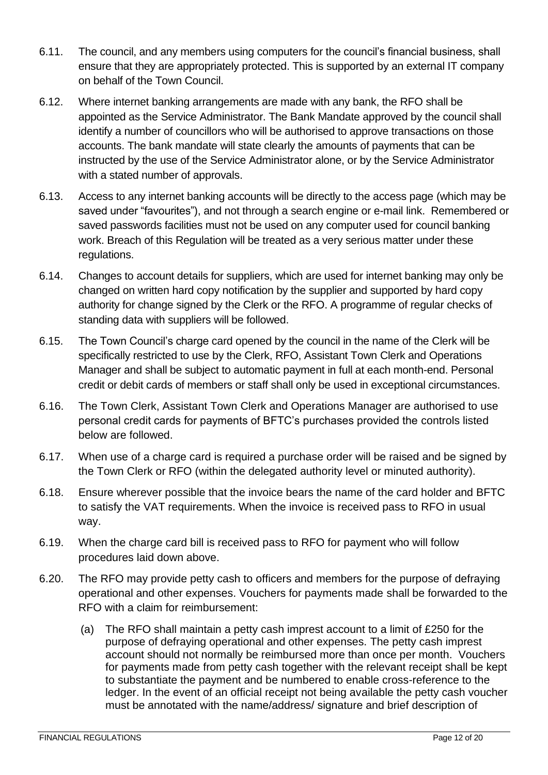- 6.11. The council, and any members using computers for the council's financial business, shall ensure that they are appropriately protected. This is supported by an external IT company on behalf of the Town Council.
- 6.12. Where internet banking arrangements are made with any bank, the RFO shall be appointed as the Service Administrator. The Bank Mandate approved by the council shall identify a number of councillors who will be authorised to approve transactions on those accounts. The bank mandate will state clearly the amounts of payments that can be instructed by the use of the Service Administrator alone, or by the Service Administrator with a stated number of approvals.
- 6.13. Access to any internet banking accounts will be directly to the access page (which may be saved under "favourites"), and not through a search engine or e-mail link. Remembered or saved passwords facilities must not be used on any computer used for council banking work. Breach of this Regulation will be treated as a very serious matter under these regulations.
- 6.14. Changes to account details for suppliers, which are used for internet banking may only be changed on written hard copy notification by the supplier and supported by hard copy authority for change signed by the Clerk or the RFO. A programme of regular checks of standing data with suppliers will be followed.
- 6.15. The Town Council's charge card opened by the council in the name of the Clerk will be specifically restricted to use by the Clerk, RFO, Assistant Town Clerk and Operations Manager and shall be subject to automatic payment in full at each month-end. Personal credit or debit cards of members or staff shall only be used in exceptional circumstances.
- 6.16. The Town Clerk, Assistant Town Clerk and Operations Manager are authorised to use personal credit cards for payments of BFTC's purchases provided the controls listed below are followed.
- 6.17. When use of a charge card is required a purchase order will be raised and be signed by the Town Clerk or RFO (within the delegated authority level or minuted authority).
- 6.18. Ensure wherever possible that the invoice bears the name of the card holder and BFTC to satisfy the VAT requirements. When the invoice is received pass to RFO in usual way.
- 6.19. When the charge card bill is received pass to RFO for payment who will follow procedures laid down above.
- 6.20. The RFO may provide petty cash to officers and members for the purpose of defraying operational and other expenses. Vouchers for payments made shall be forwarded to the RFO with a claim for reimbursement:
	- (a) The RFO shall maintain a petty cash imprest account to a limit of £250 for the purpose of defraying operational and other expenses. The petty cash imprest account should not normally be reimbursed more than once per month. Vouchers for payments made from petty cash together with the relevant receipt shall be kept to substantiate the payment and be numbered to enable cross-reference to the ledger. In the event of an official receipt not being available the petty cash voucher must be annotated with the name/address/ signature and brief description of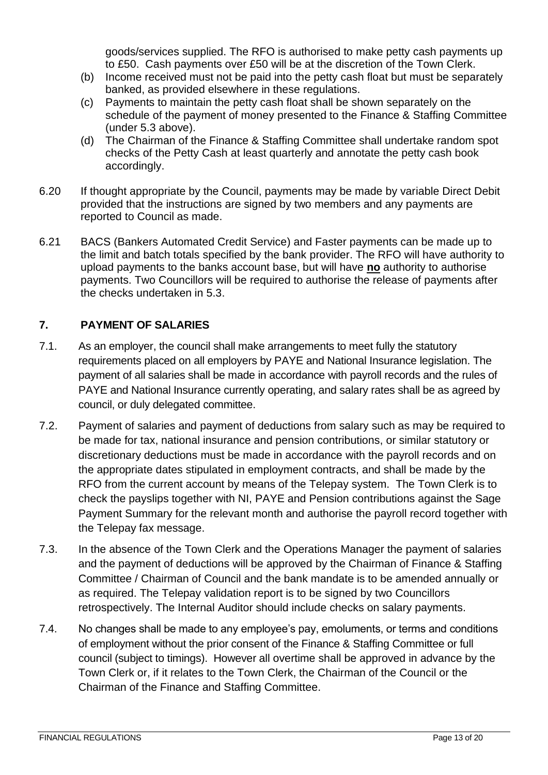goods/services supplied. The RFO is authorised to make petty cash payments up to £50. Cash payments over £50 will be at the discretion of the Town Clerk.

- (b) Income received must not be paid into the petty cash float but must be separately banked, as provided elsewhere in these regulations.
- (c) Payments to maintain the petty cash float shall be shown separately on the schedule of the payment of money presented to the Finance & Staffing Committee (under 5.3 above).
- (d) The Chairman of the Finance & Staffing Committee shall undertake random spot checks of the Petty Cash at least quarterly and annotate the petty cash book accordingly.
- 6.20 If thought appropriate by the Council, payments may be made by variable Direct Debit provided that the instructions are signed by two members and any payments are reported to Council as made.
- 6.21 BACS (Bankers Automated Credit Service) and Faster payments can be made up to the limit and batch totals specified by the bank provider. The RFO will have authority to upload payments to the banks account base, but will have **no** authority to authorise payments. Two Councillors will be required to authorise the release of payments after the checks undertaken in 5.3.

#### <span id="page-12-0"></span>**7. PAYMENT OF SALARIES**

- 7.1. As an employer, the council shall make arrangements to meet fully the statutory requirements placed on all employers by PAYE and National Insurance legislation. The payment of all salaries shall be made in accordance with payroll records and the rules of PAYE and National Insurance currently operating, and salary rates shall be as agreed by council, or duly delegated committee.
- 7.2. Payment of salaries and payment of deductions from salary such as may be required to be made for tax, national insurance and pension contributions, or similar statutory or discretionary deductions must be made in accordance with the payroll records and on the appropriate dates stipulated in employment contracts, and shall be made by the RFO from the current account by means of the Telepay system. The Town Clerk is to check the payslips together with NI, PAYE and Pension contributions against the Sage Payment Summary for the relevant month and authorise the payroll record together with the Telepay fax message.
- 7.3. In the absence of the Town Clerk and the Operations Manager the payment of salaries and the payment of deductions will be approved by the Chairman of Finance & Staffing Committee / Chairman of Council and the bank mandate is to be amended annually or as required. The Telepay validation report is to be signed by two Councillors retrospectively. The Internal Auditor should include checks on salary payments.
- 7.4. No changes shall be made to any employee's pay, emoluments, or terms and conditions of employment without the prior consent of the Finance & Staffing Committee or full council (subject to timings). However all overtime shall be approved in advance by the Town Clerk or, if it relates to the Town Clerk, the Chairman of the Council or the Chairman of the Finance and Staffing Committee.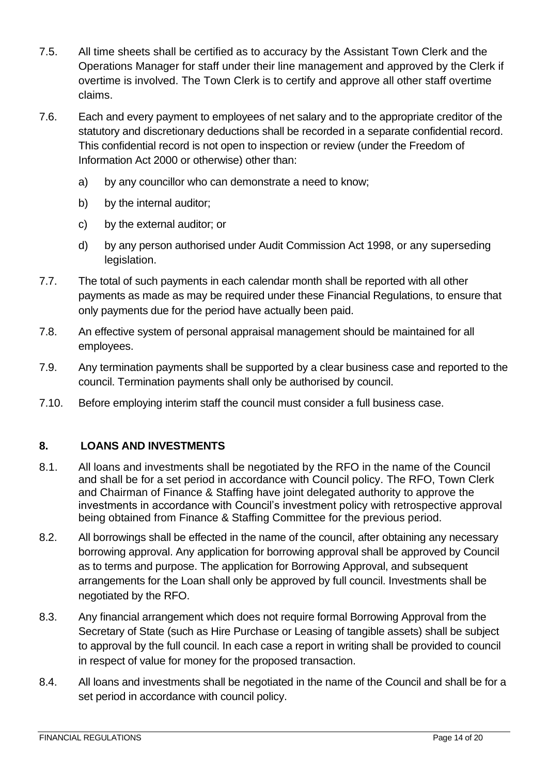- 7.5. All time sheets shall be certified as to accuracy by the Assistant Town Clerk and the Operations Manager for staff under their line management and approved by the Clerk if overtime is involved. The Town Clerk is to certify and approve all other staff overtime claims.
- 7.6. Each and every payment to employees of net salary and to the appropriate creditor of the statutory and discretionary deductions shall be recorded in a separate confidential record. This confidential record is not open to inspection or review (under the Freedom of Information Act 2000 or otherwise) other than:
	- a) by any councillor who can demonstrate a need to know;
	- b) by the internal auditor;
	- c) by the external auditor; or
	- d) by any person authorised under Audit Commission Act 1998, or any superseding legislation.
- 7.7. The total of such payments in each calendar month shall be reported with all other payments as made as may be required under these Financial Regulations, to ensure that only payments due for the period have actually been paid.
- 7.8. An effective system of personal appraisal management should be maintained for all employees.
- 7.9. Any termination payments shall be supported by a clear business case and reported to the council. Termination payments shall only be authorised by council.
- 7.10. Before employing interim staff the council must consider a full business case.

#### <span id="page-13-0"></span>**8. LOANS AND INVESTMENTS**

- 8.1. All loans and investments shall be negotiated by the RFO in the name of the Council and shall be for a set period in accordance with Council policy. The RFO, Town Clerk and Chairman of Finance & Staffing have joint delegated authority to approve the investments in accordance with Council's investment policy with retrospective approval being obtained from Finance & Staffing Committee for the previous period.
- 8.2. All borrowings shall be effected in the name of the council, after obtaining any necessary borrowing approval. Any application for borrowing approval shall be approved by Council as to terms and purpose. The application for Borrowing Approval, and subsequent arrangements for the Loan shall only be approved by full council. Investments shall be negotiated by the RFO.
- 8.3. Any financial arrangement which does not require formal Borrowing Approval from the Secretary of State (such as Hire Purchase or Leasing of tangible assets) shall be subject to approval by the full council. In each case a report in writing shall be provided to council in respect of value for money for the proposed transaction.
- 8.4. All loans and investments shall be negotiated in the name of the Council and shall be for a set period in accordance with council policy.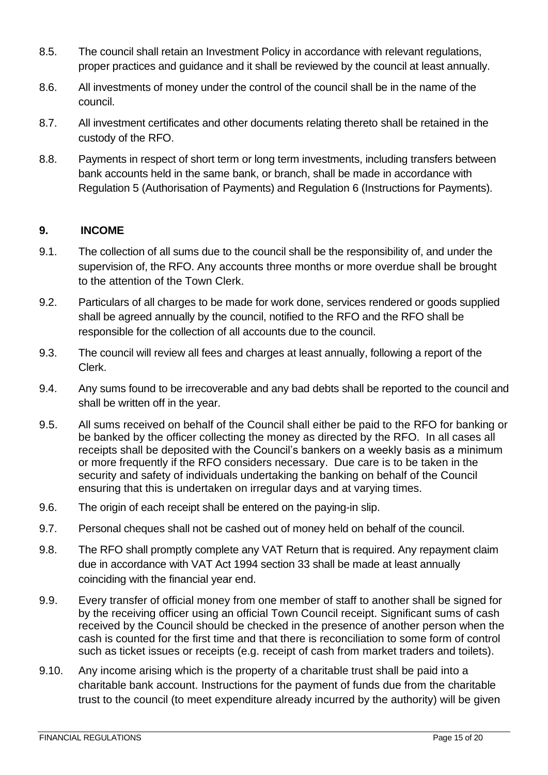- 8.5. The council shall retain an Investment Policy in accordance with relevant regulations, proper practices and guidance and it shall be reviewed by the council at least annually.
- 8.6. All investments of money under the control of the council shall be in the name of the council.
- 8.7. All investment certificates and other documents relating thereto shall be retained in the custody of the RFO.
- 8.8. Payments in respect of short term or long term investments, including transfers between bank accounts held in the same bank, or branch, shall be made in accordance with Regulation 5 (Authorisation of Payments) and Regulation 6 (Instructions for Payments).

#### <span id="page-14-0"></span>**9. INCOME**

- 9.1. The collection of all sums due to the council shall be the responsibility of, and under the supervision of, the RFO. Any accounts three months or more overdue shall be brought to the attention of the Town Clerk.
- 9.2. Particulars of all charges to be made for work done, services rendered or goods supplied shall be agreed annually by the council, notified to the RFO and the RFO shall be responsible for the collection of all accounts due to the council.
- 9.3. The council will review all fees and charges at least annually, following a report of the Clerk.
- 9.4. Any sums found to be irrecoverable and any bad debts shall be reported to the council and shall be written off in the year.
- 9.5. All sums received on behalf of the Council shall either be paid to the RFO for banking or be banked by the officer collecting the money as directed by the RFO. In all cases all receipts shall be deposited with the Council's bankers on a weekly basis as a minimum or more frequently if the RFO considers necessary. Due care is to be taken in the security and safety of individuals undertaking the banking on behalf of the Council ensuring that this is undertaken on irregular days and at varying times.
- 9.6. The origin of each receipt shall be entered on the paying-in slip.
- 9.7. Personal cheques shall not be cashed out of money held on behalf of the council.
- 9.8. The RFO shall promptly complete any VAT Return that is required. Any repayment claim due in accordance with VAT Act 1994 section 33 shall be made at least annually coinciding with the financial year end.
- 9.9. Every transfer of official money from one member of staff to another shall be signed for by the receiving officer using an official Town Council receipt. Significant sums of cash received by the Council should be checked in the presence of another person when the cash is counted for the first time and that there is reconciliation to some form of control such as ticket issues or receipts (e.g. receipt of cash from market traders and toilets).
- 9.10. Any income arising which is the property of a charitable trust shall be paid into a charitable bank account. Instructions for the payment of funds due from the charitable trust to the council (to meet expenditure already incurred by the authority) will be given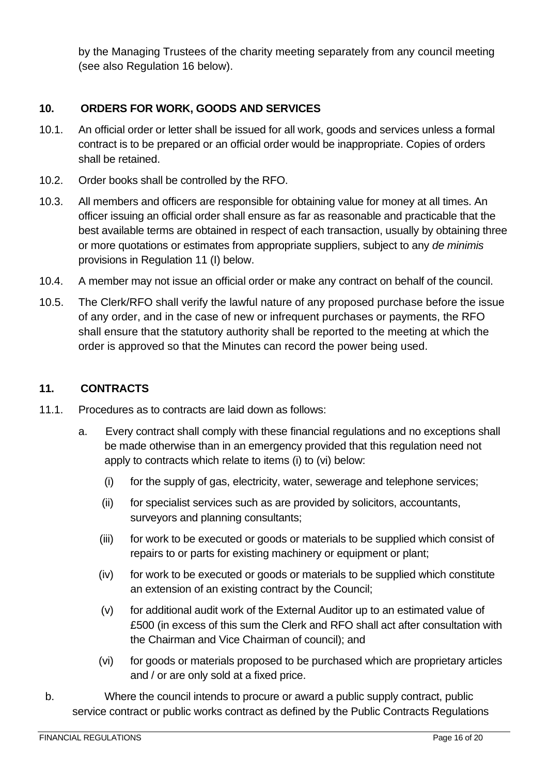by the Managing Trustees of the charity meeting separately from any council meeting (see also Regulation 16 below).

#### <span id="page-15-0"></span>**10. ORDERS FOR WORK, GOODS AND SERVICES**

- 10.1. An official order or letter shall be issued for all work, goods and services unless a formal contract is to be prepared or an official order would be inappropriate. Copies of orders shall be retained.
- 10.2. Order books shall be controlled by the RFO.
- 10.3. All members and officers are responsible for obtaining value for money at all times. An officer issuing an official order shall ensure as far as reasonable and practicable that the best available terms are obtained in respect of each transaction, usually by obtaining three or more quotations or estimates from appropriate suppliers, subject to any *de minimis* provisions in Regulation 11 (I) below.
- 10.4. A member may not issue an official order or make any contract on behalf of the council.
- 10.5. The Clerk/RFO shall verify the lawful nature of any proposed purchase before the issue of any order, and in the case of new or infrequent purchases or payments, the RFO shall ensure that the statutory authority shall be reported to the meeting at which the order is approved so that the Minutes can record the power being used.

#### <span id="page-15-1"></span>**11. CONTRACTS**

- 11.1. Procedures as to contracts are laid down as follows:
	- a. Every contract shall comply with these financial regulations and no exceptions shall be made otherwise than in an emergency provided that this regulation need not apply to contracts which relate to items (i) to (vi) below:
		- (i) for the supply of gas, electricity, water, sewerage and telephone services;
		- (ii) for specialist services such as are provided by solicitors, accountants, surveyors and planning consultants;
		- (iii) for work to be executed or goods or materials to be supplied which consist of repairs to or parts for existing machinery or equipment or plant;
		- (iv) for work to be executed or goods or materials to be supplied which constitute an extension of an existing contract by the Council;
		- (v) for additional audit work of the External Auditor up to an estimated value of £500 (in excess of this sum the Clerk and RFO shall act after consultation with the Chairman and Vice Chairman of council); and
		- (vi) for goods or materials proposed to be purchased which are proprietary articles and / or are only sold at a fixed price.
- b. Where the council intends to procure or award a public supply contract, public service contract or public works contract as defined by the Public Contracts Regulations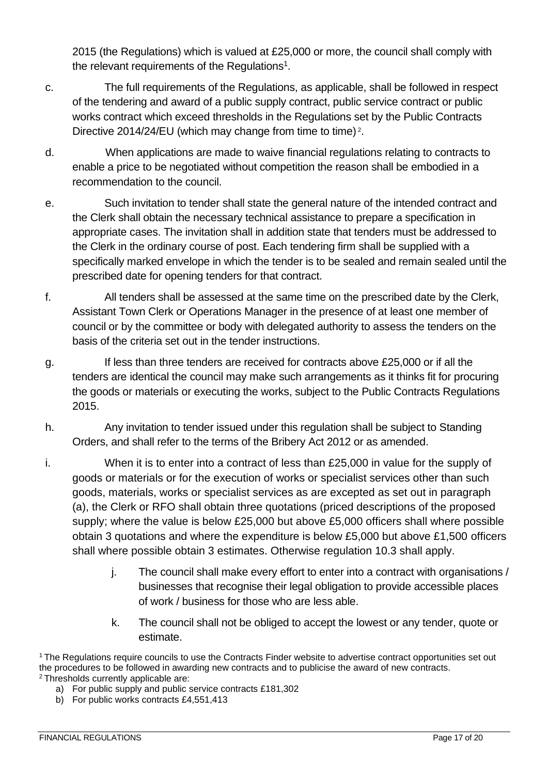2015 (the Regulations) which is valued at £25,000 or more, the council shall comply with the relevant requirements of the Regulations<sup>1</sup>.

- c. The full requirements of the Regulations, as applicable, shall be followed in respect of the tendering and award of a public supply contract, public service contract or public works contract which exceed thresholds in the Regulations set by the Public Contracts Directive 2014/24/EU (which may change from time to time)<sup>2</sup>.
- d. When applications are made to waive financial regulations relating to contracts to enable a price to be negotiated without competition the reason shall be embodied in a recommendation to the council.
- e. Such invitation to tender shall state the general nature of the intended contract and the Clerk shall obtain the necessary technical assistance to prepare a specification in appropriate cases. The invitation shall in addition state that tenders must be addressed to the Clerk in the ordinary course of post. Each tendering firm shall be supplied with a specifically marked envelope in which the tender is to be sealed and remain sealed until the prescribed date for opening tenders for that contract.
- f. All tenders shall be assessed at the same time on the prescribed date by the Clerk, Assistant Town Clerk or Operations Manager in the presence of at least one member of council or by the committee or body with delegated authority to assess the tenders on the basis of the criteria set out in the tender instructions.
- g. If less than three tenders are received for contracts above £25,000 or if all the tenders are identical the council may make such arrangements as it thinks fit for procuring the goods or materials or executing the works, subject to the Public Contracts Regulations 2015.
- h. Any invitation to tender issued under this regulation shall be subject to Standing Orders, and shall refer to the terms of the Bribery Act 2012 or as amended.
- i. When it is to enter into a contract of less than £25,000 in value for the supply of goods or materials or for the execution of works or specialist services other than such goods, materials, works or specialist services as are excepted as set out in paragraph (a), the Clerk or RFO shall obtain three quotations (priced descriptions of the proposed supply; where the value is below £25,000 but above £5,000 officers shall where possible obtain 3 quotations and where the expenditure is below £5,000 but above £1,500 officers shall where possible obtain 3 estimates. Otherwise regulation 10.3 shall apply.
	- j. The council shall make every effort to enter into a contract with organisations / businesses that recognise their legal obligation to provide accessible places of work / business for those who are less able.
	- k. The council shall not be obliged to accept the lowest or any tender, quote or estimate.

- a) For public supply and public service contracts £181,302
- b) For public works contracts £4,551,413

<sup>1</sup> The Regulations require councils to use the Contracts Finder website to advertise contract opportunities set out the procedures to be followed in awarding new contracts and to publicise the award of new contracts. <sup>2</sup> Thresholds currently applicable are: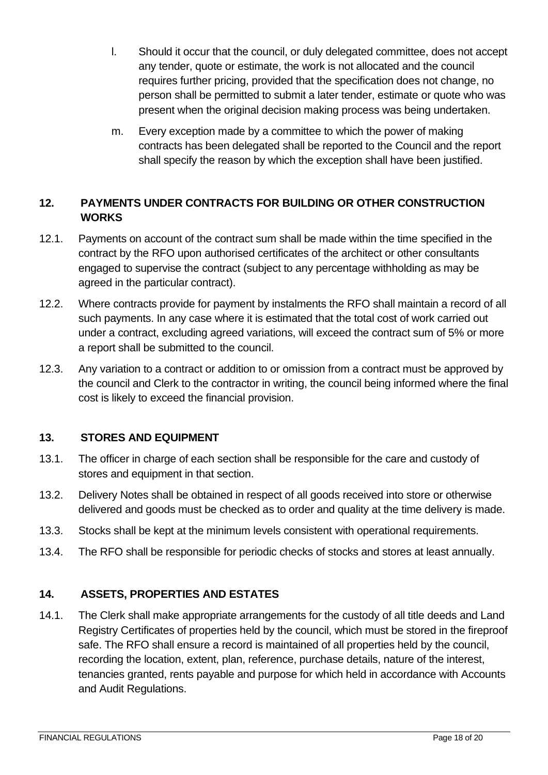- l. Should it occur that the council, or duly delegated committee, does not accept any tender, quote or estimate, the work is not allocated and the council requires further pricing, provided that the specification does not change, no person shall be permitted to submit a later tender, estimate or quote who was present when the original decision making process was being undertaken.
- m. Every exception made by a committee to which the power of making contracts has been delegated shall be reported to the Council and the report shall specify the reason by which the exception shall have been justified.

#### <span id="page-17-0"></span>**12. PAYMENTS UNDER CONTRACTS FOR BUILDING OR OTHER CONSTRUCTION WORKS**

- 12.1. Payments on account of the contract sum shall be made within the time specified in the contract by the RFO upon authorised certificates of the architect or other consultants engaged to supervise the contract (subject to any percentage withholding as may be agreed in the particular contract).
- 12.2. Where contracts provide for payment by instalments the RFO shall maintain a record of all such payments. In any case where it is estimated that the total cost of work carried out under a contract, excluding agreed variations, will exceed the contract sum of 5% or more a report shall be submitted to the council.
- 12.3. Any variation to a contract or addition to or omission from a contract must be approved by the council and Clerk to the contractor in writing, the council being informed where the final cost is likely to exceed the financial provision.

#### <span id="page-17-1"></span>**13. STORES AND EQUIPMENT**

- 13.1. The officer in charge of each section shall be responsible for the care and custody of stores and equipment in that section.
- 13.2. Delivery Notes shall be obtained in respect of all goods received into store or otherwise delivered and goods must be checked as to order and quality at the time delivery is made.
- 13.3. Stocks shall be kept at the minimum levels consistent with operational requirements.
- 13.4. The RFO shall be responsible for periodic checks of stocks and stores at least annually.

#### <span id="page-17-2"></span>**14. ASSETS, PROPERTIES AND ESTATES**

14.1. The Clerk shall make appropriate arrangements for the custody of all title deeds and Land Registry Certificates of properties held by the council, which must be stored in the fireproof safe. The RFO shall ensure a record is maintained of all properties held by the council, recording the location, extent, plan, reference, purchase details, nature of the interest, tenancies granted, rents payable and purpose for which held in accordance with Accounts and Audit Regulations.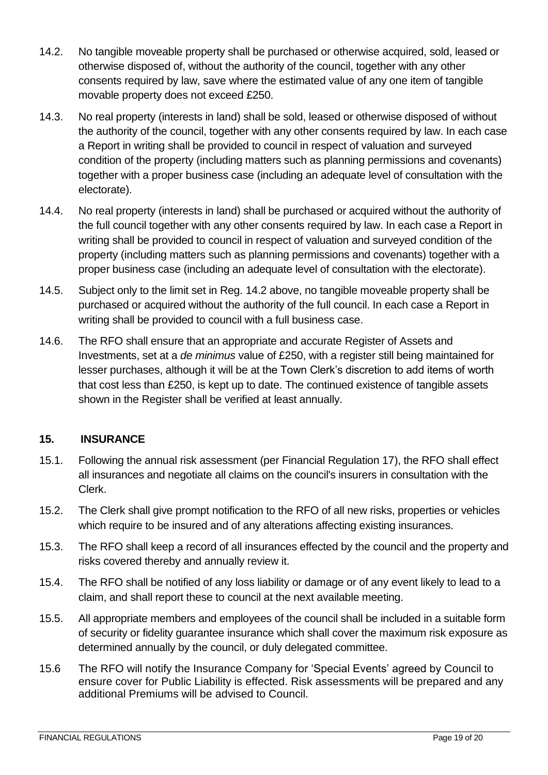- 14.2. No tangible moveable property shall be purchased or otherwise acquired, sold, leased or otherwise disposed of, without the authority of the council, together with any other consents required by law, save where the estimated value of any one item of tangible movable property does not exceed £250.
- 14.3. No real property (interests in land) shall be sold, leased or otherwise disposed of without the authority of the council, together with any other consents required by law. In each case a Report in writing shall be provided to council in respect of valuation and surveyed condition of the property (including matters such as planning permissions and covenants) together with a proper business case (including an adequate level of consultation with the electorate).
- 14.4. No real property (interests in land) shall be purchased or acquired without the authority of the full council together with any other consents required by law. In each case a Report in writing shall be provided to council in respect of valuation and surveyed condition of the property (including matters such as planning permissions and covenants) together with a proper business case (including an adequate level of consultation with the electorate).
- 14.5. Subject only to the limit set in Reg. 14.2 above, no tangible moveable property shall be purchased or acquired without the authority of the full council. In each case a Report in writing shall be provided to council with a full business case.
- 14.6. The RFO shall ensure that an appropriate and accurate Register of Assets and Investments, set at a *de minimus* value of £250, with a register still being maintained for lesser purchases, although it will be at the Town Clerk's discretion to add items of worth that cost less than £250, is kept up to date. The continued existence of tangible assets shown in the Register shall be verified at least annually.

#### <span id="page-18-0"></span>**15. INSURANCE**

- 15.1. Following the annual risk assessment (per Financial Regulation 17), the RFO shall effect all insurances and negotiate all claims on the council's insurers in consultation with the Clerk.
- 15.2. The Clerk shall give prompt notification to the RFO of all new risks, properties or vehicles which require to be insured and of any alterations affecting existing insurances.
- 15.3. The RFO shall keep a record of all insurances effected by the council and the property and risks covered thereby and annually review it.
- 15.4. The RFO shall be notified of any loss liability or damage or of any event likely to lead to a claim, and shall report these to council at the next available meeting.
- 15.5. All appropriate members and employees of the council shall be included in a suitable form of security or fidelity guarantee insurance which shall cover the maximum risk exposure as determined annually by the council, or duly delegated committee.
- 15.6 The RFO will notify the Insurance Company for 'Special Events' agreed by Council to ensure cover for Public Liability is effected. Risk assessments will be prepared and any additional Premiums will be advised to Council.